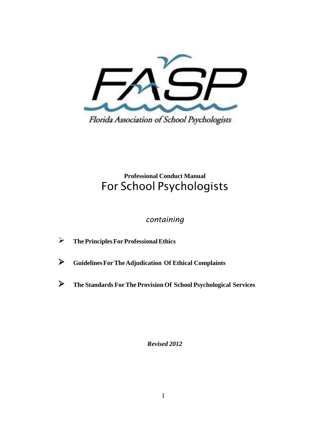

# **Professional Conduct Manual** For School Psychologists

# *containing*

- **ThePrinciplesForProfessionalEthics**
- **GuidelinesForTheAdjudication Of Ethical Complaints**
- **The Standards For The Provision Of School Psychological Services**

*Revised 2012*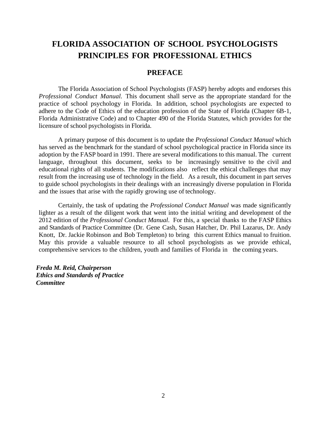# **FLORIDA ASSOCIATION OF SCHOOL PSYCHOLOGISTS PRINCIPLES FOR PROFESSIONAL ETHICS**

## **PREFACE**

The Florida Association of School Psychologists (FASP) hereby adopts and endorses this *Professional Conduct Manual.* This document shall serve as the appropriate standard for the practice of school psychology in Florida. In addition, school psychologists are expected to adhere to the Code of Ethics of the education profession of the State of Florida (Chapter 6B-1, Florida Administrative Code) and to Chapter 490 of the Florida Statutes, which provides for the licensure of school psychologists in Florida.

A primary purpose of this document is to update the *Professional Conduct Manual* which has served as the benchmark for the standard of school psychological practice in Florida since its adoption by the FASP board in 1991. There are several modifications to this manual. The current language, throughout this document, seeks to be increasingly sensitive to the civil and educational rights of all students. The modifications also reflect the ethical challenges that may result from the increasing use of technology in the field. As a result, this document in part serves to guide school psychologists in their dealings with an increasingly diverse population in Florida and the issues that arise with the rapidly growing use of technology.

Certainly, the task of updating the *Professional Conduct Manual* was made significantly lighter as a result of the diligent work that went into the initial writing and development of the 2012 edition of the *Professional Conduct Manual*. For this, a special thanks to the FASP Ethics and Standards of Practice Committee (Dr. Gene Cash, Susan Hatcher, Dr. Phil Lazarus, Dr. Andy Knott, Dr. Jackie Robinson and Bob Templeton) to bring this current Ethics manual to fruition. May this provide a valuable resource to all school psychologists as we provide ethical, comprehensive services to the children, youth and families of Florida in the coming years.

*Freda M. Reid, Chairperson Ethics and Standards of Practice Committee*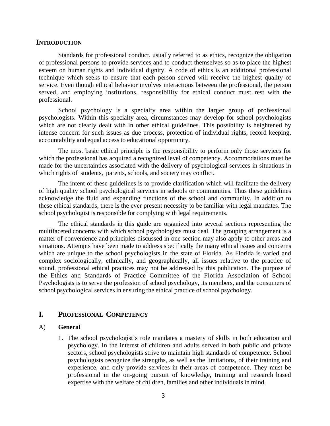#### **INTRODUCTION**

Standards for professional conduct, usually referred to as ethics, recognize the obligation of professional persons to provide services and to conduct themselves so as to place the highest esteem on human rights and individual dignity. A code of ethics is an additional professional technique which seeks to ensure that each person served will receive the highest quality of service. Even though ethical behavior involves interactions between the professional, the person served, and employing institutions, responsibility for ethical conduct must rest with the professional.

School psychology is a specialty area within the larger group of professional psychologists. Within this specialty area, circumstances may develop for school psychologists which are not clearly dealt with in other ethical guidelines. This possibility is heightened by intense concern for such issues as due process, protection of individual rights, record keeping, accountability and equal access to educational opportunity.

The most basic ethical principle is the responsibility to perform only those services for which the professional has acquired a recognized level of competency. Accommodations must be made for the uncertainties associated with the delivery of psychological services in situations in which rights of students, parents, schools, and society may conflict.

The intent of these guidelines is to provide clarification which will facilitate the delivery of high quality school psychological services in schools or communities. Thus these guidelines acknowledge the fluid and expanding functions of the school and community. In addition to these ethical standards, there is the ever present necessity to be familiar with legal mandates. The school psychologist is responsible for complying with legal requirements.

The ethical standards in this guide are organized into several sections representing the multifaceted concerns with which school psychologists must deal. The grouping arrangement is a matter of convenience and principles discussed in one section may also apply to other areas and situations. Attempts have been made to address specifically the many ethical issues and concerns which are unique to the school psychologists in the state of Florida. As Florida is varied and complex sociologically, ethnically, and geographically, all issues relative to the practice of sound, professional ethical practices may not be addressed by this publication. The purpose of the Ethics and Standards of Practice Committee of the Florida Association of School Psychologists is to serve the profession of school psychology, its members, and the consumers of school psychological services in ensuring the ethical practice of school psychology.

## **I. PROFESSIONAL COMPETENCY**

#### A) **General**

1. The school psychologist's role mandates a mastery of skills in both education and psychology. In the interest of children and adults served in both public and private sectors, school psychologists strive to maintain high standards of competence. School psychologists recognize the strengths, as well as the limitations, of their training and experience, and only provide services in their areas of competence. They must be professional in the on-going pursuit of knowledge, training and research based expertise with the welfare of children, families and other individuals in mind.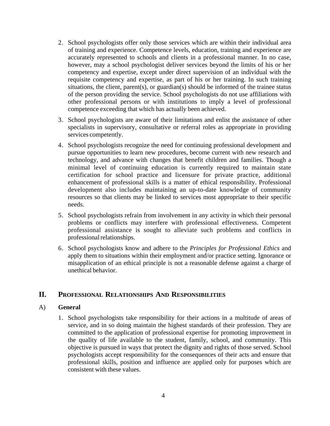- 2. School psychologists offer only those services which are within their individual area of training and experience. Competence levels, education, training and experience are accurately represented to schools and clients in a professional manner. In no case, however, may a school psychologist deliver services beyond the limits of his or her competency and expertise, except under direct supervision of an individual with the requisite competency and expertise, as part of his or her training. In such training situations, the client, parent(s), or guardian(s) should be informed of the trainee status of the person providing the service. School psychologists do not use affiliations with other professional persons or with institutions to imply a level of professional competence exceeding that which has actually been achieved.
- 3. School psychologists are aware of their limitations and enlist the assistance of other specialists in supervisory, consultative or referral roles as appropriate in providing services competently.
- 4. School psychologists recognize the need for continuing professional development and pursue opportunities to learn new procedures, become current with new research and technology, and advance with changes that benefit children and families. Though a minimal level of continuing education is currently required to maintain state certification for school practice and licensure for private practice, additional enhancement of professional skills is a matter of ethical responsibility. Professional development also includes maintaining an up-to-date knowledge of community resources so that clients may be linked to services most appropriate to their specific needs.
- 5. School psychologists refrain from involvement in any activity in which their personal problems or conflicts may interfere with professional effectiveness. Competent professional assistance is sought to alleviate such problems and conflicts in professional relationships.
- 6. School psychologists know and adhere to the *Principles for Professional Ethics* and apply them to situations within their employment and/or practice setting. Ignorance or misapplication of an ethical principle is not a reasonable defense against a charge of unethical behavior.

# **II. PROFESSIONAL RELATIONSHIPS AND RESPONSIBILITIES**

#### A) **General**

1. School psychologists take responsibility for their actions in a multitude of areas of service, and in so doing maintain the highest standards of their profession. They are committed to the application of professional expertise for promoting improvement in the quality of life available to the student, family, school, and community. This objective is pursued in ways that protect the dignity and rights of those served. School psychologists accept responsibility for the consequences of their acts and ensure that professional skills, position and influence are applied only for purposes which are consistent with these values.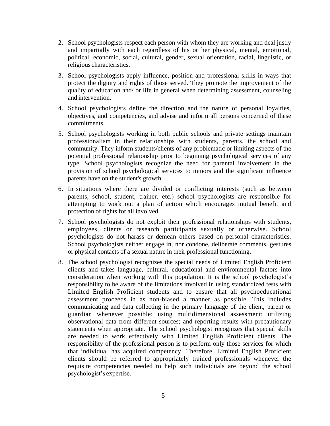- 2. School psychologists respect each person with whom they are working and deal justly and impartially with each regardless of his or her physical, mental, emotional, political, economic, social, cultural, gender, sexual orientation, racial, linguistic, or religious characteristics.
- 3. School psychologists apply influence, position and professional skills in ways that protect the dignity and rights of those served. They promote the improvement of the quality of education and/ or life in general when determining assessment, counseling and intervention.
- 4. School psychologists define the direction and the nature of personal loyalties, objectives, and competencies, and advise and inform all persons concerned of these commitments.
- 5. School psychologists working in both public schools and private settings maintain professionalism in their relationships with students, parents, the school and community. They inform students/clients of any problematic or limiting aspects of the potential professional relationship prior to beginning psychological services of any type. School psychologists recognize the need for parental involvement in the provision of school psychological services to minors and the significant influence parents have on the student's growth.
- 6. In situations where there are divided or conflicting interests (such as between parents, school, student, trainer, etc.) school psychologists are responsible for attempting to work out a plan of action which encourages mutual benefit and protection of rights for all involved.
- 7. School psychologists do not exploit their professional relationships with students, employees, clients or research participants sexually or otherwise. School psychologists do not harass or demean others based on personal characteristics. School psychologists neither engage in, nor condone, deliberate comments, gestures or physical contacts of a sexual nature in their professional functioning.
- 8. The school psychologist recognizes the special needs of Limited English Proficient clients and takes language, cultural, educational and environmental factors into consideration when working with this population. It is the school psychologist's responsibility to be aware of the limitations involved in using standardized tests with Limited English Proficient students and to ensure that all psychoeducational assessment proceeds in as non-biased a manner as possible. This includes communicating and data collecting in the primary language of the client, parent or guardian whenever possible; using multidimensional assessment; utilizing observational data from different sources; and reporting results with precautionary statements when appropriate. The school psychologist recognizes that special skills are needed to work effectively with Limited English Proficient clients. The responsibility of the professional person is to perform only those services for which that individual has acquired competency. Therefore, Limited English Proficient clients should be referred to appropriately trained professionals whenever the requisite competencies needed to help such individuals are beyond the school psychologist's expertise.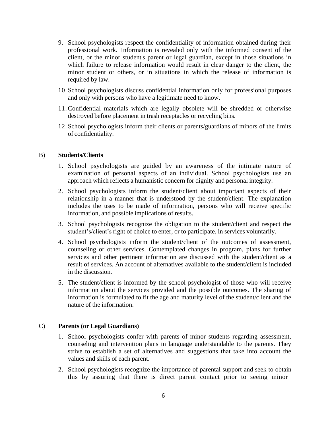- 9. School psychologists respect the confidentiality of information obtained during their professional work. Information is revealed only with the informed consent of the client, or the minor student's parent or legal guardian, except in those situations in which failure to release information would result in clear danger to the client, the minor student or others, or in situations in which the release of information is required by law.
- 10. School psychologists discuss confidential information only for professional purposes and only with persons who have a legitimate need to know.
- 11.Confidential materials which are legally obsolete will be shredded or otherwise destroyed before placement in trash receptacles or recycling bins.
- 12. School psychologists inform their clients or parents/guardians of minors of the limits of confidentiality.

#### B) **Students/Clients**

- 1. School psychologists are guided by an awareness of the intimate nature of examination of personal aspects of an individual. School psychologists use an approach which reflects a humanistic concern for dignity and personal integrity.
- 2. School psychologists inform the student/client about important aspects of their relationship in a manner that is understood by the student/client. The explanation includes the uses to be made of information, persons who will receive specific information, and possible implications of results.
- 3. School psychologists recognize the obligation to the student/client and respect the student's/client's right of choice to enter, or to participate, in services voluntarily.
- 4. School psychologists inform the student/client of the outcomes of assessment, counseling or other services. Contemplated changes in program, plans for further services and other pertinent information are discussed with the student/client as a result of services. An account of alternatives available to the student/client is included in the discussion.
- 5. The student/client is informed by the school psychologist of those who will receive information about the services provided and the possible outcomes. The sharing of information is formulated to fit the age and maturity level of the student/client and the nature of the information.

#### C) **Parents (or Legal Guardians)**

- 1. School psychologists confer with parents of minor students regarding assessment, counseling and intervention plans in language understandable to the parents. They strive to establish a set of alternatives and suggestions that take into account the values and skills of each parent.
- 2. School psychologists recognize the importance of parental support and seek to obtain this by assuring that there is direct parent contact prior to seeing minor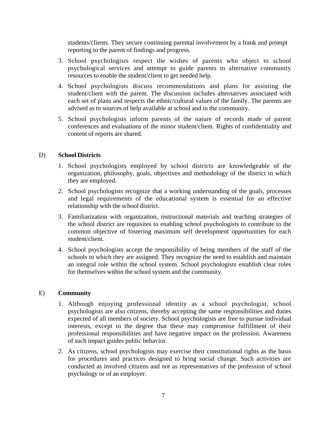students/clients. They secure continuing parental involvement by a frank and prompt reporting to the parent of findings and progress.

- 3. School psychologists respect the wishes of parents who object to school psychological services and attempt to guide parents to alternative community resources to enable the student/client to get needed help.
- 4. School psychologists discuss recommendations and plans for assisting the student/client with the parent. The discussion includes alternatives associated with each set of plans and respects the ethnic/cultural values of the family. The parents are advised as to sources of help available at school and in the community.
- 5. School psychologists inform parents of the nature of records made of parent conferences and evaluations of the minor student/client. Rights of confidentiality and content of reports are shared.

### D) **School Districts**

- 1. School psychologists employed by school districts are knowledgeable of the organization, philosophy, goals, objectives and methodology of the district in which they are employed.
- 2. School psychologists recognize that a working understanding of the goals, processes and legal requirements of the educational system is essential for an effective relationship with the school district.
- 3. Familiarization with organization, instructional materials and teaching strategies of the school district are requisites to enabling school psychologists to contribute to the common objective of fostering maximum self development opportunities for each student/client.
- 4. School psychologists accept the responsibility of being members of the staff of the schools to which they are assigned. They recognize the need to establish and maintain an integral role within the school system. School psychologists establish clear roles for themselves within the school system and the community.

## E) **Community**

- 1. Although enjoying professional identity as a school psychologist, school psychologists are also citizens, thereby accepting the same responsibilities and duties expected of all members of society. School psychologists are free to pursue individual interests, except to the degree that these may compromise fulfillment of their professional responsibilities and have negative impact on the profession. Awareness of such impact guides public behavior.
- 2. As citizens, school psychologists may exercise their constitutional rights as the basis for procedures and practices designed to bring social change. Such activities are conducted as involved citizens and not as representatives of the profession of school psychology or of an employer.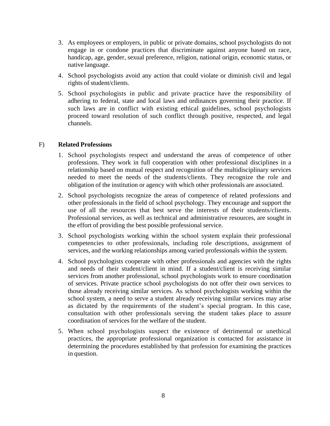- 3. As employees or employers, in public or private domains, school psychologists do not engage in or condone practices that discriminate against anyone based on race, handicap, age, gender, sexual preference, religion, national origin, economic status, or native language.
- 4. School psychologists avoid any action that could violate or diminish civil and legal rights of student/clients.
- 5. School psychologists in public and private practice have the responsibility of adhering to federal, state and local laws and ordinances governing their practice. If such laws are in conflict with existing ethical guidelines, school psychologists proceed toward resolution of such conflict through positive, respected, and legal channels.

## F) **Related Professions**

- 1. School psychologists respect and understand the areas of competence of other professions. They work in full cooperation with other professional disciplines in a relationship based on mutual respect and recognition of the multidisciplinary services needed to meet the needs of the students/clients. They recognize the role and obligation of the institution or agency with which other professionals are associated.
- 2. School psychologists recognize the areas of competence of related professions and other professionals in the field of school psychology. They encourage and support the use of all the resources that best serve the interests of their students/clients. Professional services, as well as technical and administrative resources, are sought in the effort of providing the best possible professional service.
- 3. School psychologists working within the school system explain their professional competencies to other professionals, including role descriptions, assignment of services, and the working relationships among varied professionals within the system.
- 4. School psychologists cooperate with other professionals and agencies with the rights and needs of their student/client in mind. If a student/client is receiving similar services from another professional, school psychologists work to ensure coordination of services. Private practice school psychologists do not offer their own services to those already receiving similar services. As school psychologists working within the school system, a need to serve a student already receiving similar services may arise as dictated by the requirements of the student's special program. In this case, consultation with other professionals serving the student takes place to assure coordination of services for the welfare of the student.
- 5. When school psychologists suspect the existence of detrimental or unethical practices, the appropriate professional organization is contacted for assistance in determining the procedures established by that profession for examining the practices in question.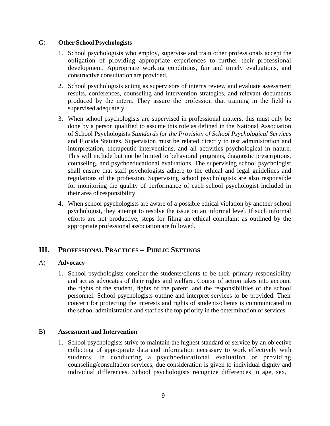### G) **Other School Psychologists**

- 1. School psychologists who employ, supervise and train other professionals accept the obligation of providing appropriate experiences to further their professional development. Appropriate working conditions, fair and timely evaluations, and constructive consultation are provided.
- 2. School psychologists acting as supervisors of interns review and evaluate assessment results, conferences, counseling and intervention strategies, and relevant documents produced by the intern. They assure the profession that training in the field is supervised adequately.
- 3. When school psychologists are supervised in professional matters, this must only be done by a person qualified to assume this role as defined in the National Association of School Psychologists *Standards for the Provision of School Psychological Services* and Florida Statutes. Supervision must be related directly to test administration and interpretation, therapeutic interventions, and all activities psychological in nature. This will include but not be limited to behavioral programs, diagnostic prescriptions, counseling, and psychoeducational evaluations. The supervising school psychologist shall ensure that staff psychologists adhere to the ethical and legal guidelines and regulations of the profession. Supervising school psychologists are also responsible for monitoring the quality of performance of each school psychologist included in their area of responsibility.
- 4. When school psychologists are aware of a possible ethical violation by another school psychologist, they attempt to resolve the issue on an informal level. If such informal efforts are not productive, steps for filing an ethical complaint as outlined by the appropriate professional association are followed.

# **III. PROFESSIONAL PRACTICES – PUBLIC SETTINGS**

## A) **Advocacy**

1. School psychologists consider the students/clients to be their primary responsibility and act as advocates of their rights and welfare. Course of action takes into account the rights of the student, rights of the parent, and the responsibilities of the school personnel. School psychologists outline and interpret services to be provided. Their concern for protecting the interests and rights of students/clients is communicated to the school administration and staff as the top priority in the determination of services.

#### B) **Assessment and Intervention**

1. School psychologists strive to maintain the highest standard of service by an objective collecting of appropriate data and information necessary to work effectively with students. In conducting a psychoeducational evaluation or providing counseling/consultation services, due consideration is given to individual dignity and individual differences. School psychologists recognize differences in age, sex,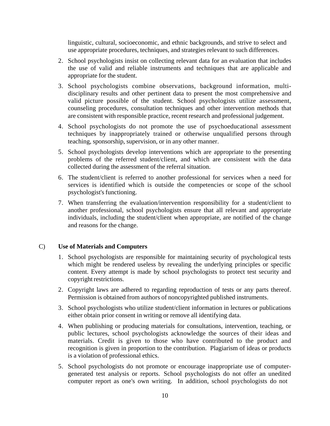linguistic, cultural, socioeconomic, and ethnic backgrounds, and strive to select and use appropriate procedures, techniques, and strategies relevant to such differences.

- 2. School psychologists insist on collecting relevant data for an evaluation that includes the use of valid and reliable instruments and techniques that are applicable and appropriate for the student.
- 3. School psychologists combine observations, background information, multidisciplinary results and other pertinent data to present the most comprehensive and valid picture possible of the student. School psychologists utilize assessment, counseling procedures, consultation techniques and other intervention methods that are consistent with responsible practice, recent research and professional judgement.
- 4. School psychologists do not promote the use of psychoeducational assessment techniques by inappropriately trained or otherwise unqualified persons through teaching, sponsorship, supervision, or in any other manner.
- 5. School psychologists develop interventions which are appropriate to the presenting problems of the referred student/client, and which are consistent with the data collected during the assessment of the referral situation.
- 6. The student/client is referred to another professional for services when a need for services is identified which is outside the competencies or scope of the school psychologist's functioning.
- 7. When transferring the evaluation/intervention responsibility for a student/client to another professional, school psychologists ensure that all relevant and appropriate individuals, including the student/client when appropriate, are notified of the change and reasons for the change.

#### C) **Use of Materials and Computers**

- 1. School psychologists are responsible for maintaining security of psychological tests which might be rendered useless by revealing the underlying principles or specific content. Every attempt is made by school psychologists to protect test security and copyright restrictions.
- 2. Copyright laws are adhered to regarding reproduction of tests or any parts thereof. Permission is obtained from authors of noncopyrighted published instruments.
- 3. School psychologists who utilize student/client information in lectures or publications either obtain prior consent in writing or remove all identifying data.
- 4. When publishing or producing materials for consultations, intervention, teaching, or public lectures, school psychologists acknowledge the sources of their ideas and materials. Credit is given to those who have contributed to the product and recognition is given in proportion to the contribution. Plagiarism of ideas or products is a violation of professional ethics.
- 5. School psychologists do not promote or encourage inappropriate use of computergenerated test analysis or reports. School psychologists do not offer an unedited computer report as one's own writing. In addition, school psychologists do not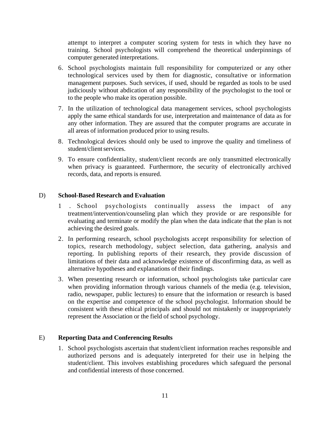attempt to interpret a computer scoring system for tests in which they have no training. School psychologists will comprehend the theoretical underpinnings of computer generated interpretations.

- 6. School psychologists maintain full responsibility for computerized or any other technological services used by them for diagnostic, consultative or information management purposes. Such services, if used, should be regarded as tools to be used judiciously without abdication of any responsibility of the psychologist to the tool or to the people who make its operation possible.
- 7. In the utilization of technological data management services, school psychologists apply the same ethical standards for use, interpretation and maintenance of data as for any other information. They are assured that the computer programs are accurate in all areas of information produced prior to using results.
- 8. Technological devices should only be used to improve the quality and timeliness of student/client services.
- 9. To ensure confidentiality, student/client records are only transmitted electronically when privacy is guaranteed. Furthermore, the security of electronically archived records, data, and reports is ensured.

### D) **School-Based Research and Evaluation**

- 1 . School psychologists continually assess the impact of any treatment/intervention/counseling plan which they provide or are responsible for evaluating and terminate or modify the plan when the data indicate that the plan is not achieving the desired goals.
- 2. In performing research, school psychologists accept responsibility for selection of topics, research methodology, subject selection, data gathering, analysis and reporting. In publishing reports of their research, they provide discussion of limitations of their data and acknowledge existence of disconfirming data, as well as alternative hypotheses and explanations of their findings.
- 3. When presenting research or information, school psychologists take particular care when providing information through various channels of the media (e.g. television, radio, newspaper, public lectures) to ensure that the information or research is based on the expertise and competence of the school psychologist. Information should be consistent with these ethical principals and should not mistakenly or inappropriately represent the Association or the field of school psychology.

## E) **Reporting Data and Conferencing Results**

1. School psychologists ascertain that student/client information reaches responsible and authorized persons and is adequately interpreted for their use in helping the student/client. This involves establishing procedures which safeguard the personal and confidential interests of those concerned.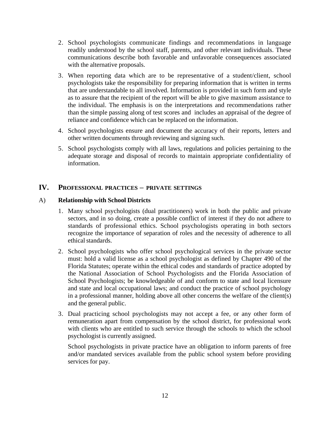- 2. School psychologists communicate findings and recommendations in language readily understood by the school staff, parents, and other relevant individuals. These communications describe both favorable and unfavorable consequences associated with the alternative proposals.
- 3. When reporting data which are to be representative of a student/client, school psychologists take the responsibility for preparing information that is written in terms that are understandable to all involved. Information is provided in such form and style as to assure that the recipient of the report will be able to give maximum assistance to the individual. The emphasis is on the interpretations and recommendations rather than the simple passing along of test scores and includes an appraisal of the degree of reliance and confidence which can be replaced on the information.
- 4. School psychologists ensure and document the accuracy of their reports, letters and other written documents through reviewing and signing such.
- 5. School psychologists comply with all laws, regulations and policies pertaining to the adequate storage and disposal of records to maintain appropriate confidentiality of information.

## **IV. PROFESSIONAL PRACTICES – PRIVATE SETTINGS**

#### A) **Relationship with School Districts**

- 1. Many school psychologists (dual practitioners) work in both the public and private sectors, and in so doing, create a possible conflict of interest if they do not adhere to standards of professional ethics. School psychologists operating in both sectors recognize the importance of separation of roles and the necessity of adherence to all ethical standards.
- 2. School psychologists who offer school psychological services in the private sector must: hold a valid license as a school psychologist as defined by Chapter 490 of the Florida Statutes; operate within the ethical codes and standards of practice adopted by the National Association of School Psychologists and the Florida Association of School Psychologists; be knowledgeable of and conform to state and local licensure and state and local occupational laws; and conduct the practice of school psychology in a professional manner, holding above all other concerns the welfare of the client(s) and the general public.
- 3. Dual practicing school psychologists may not accept a fee, or any other form of remuneration apart from compensation by the school district, for professional work with clients who are entitled to such service through the schools to which the school psychologist is currently assigned.

School psychologists in private practice have an obligation to inform parents of free and/or mandated services available from the public school system before providing services for pay.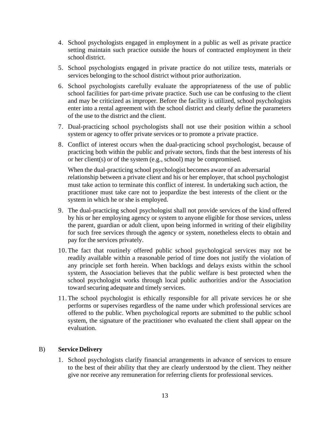- 4. School psychologists engaged in employment in a public as well as private practice setting maintain such practice outside the hours of contracted employment in their school district.
- 5. School psychologists engaged in private practice do not utilize tests, materials or services belonging to the school district without prior authorization.
- 6. School psychologists carefully evaluate the appropriateness of the use of public school facilities for part-time private practice. Such use can be confusing to the client and may be criticized as improper. Before the facility is utilized, school psychologists enter into a rental agreement with the school district and clearly define the parameters of the use to the district and the client.
- 7. Dual-practicing school psychologists shall not use their position within a school system or agency to offer private services or to promote a private practice.
- 8. Conflict of interest occurs when the dual-practicing school psychologist, because of practicing both within the public and private sectors, finds that the best interests of his or her client(s) or of the system (e.g., school) may be compromised.

When the dual-practicing school psychologist becomes aware of an adversarial relationship between a private client and his or her employer, that school psychologist must take action to terminate this conflict of interest. In undertaking such action, the practitioner must take care not to jeopardize the best interests of the client or the system in which he or she is employed.

- 9. The dual-practicing school psychologist shall not provide services of the kind offered by his or her employing agency or system to anyone eligible for those services, unless the parent, guardian or adult client, upon being informed in writing of their eligibility for such free services through the agency or system, nonetheless elects to obtain and pay for the services privately.
- 10. The fact that routinely offered public school psychological services may not be readily available within a reasonable period of time does not justify the violation of any principle set forth herein. When backlogs and delays exists within the school system, the Association believes that the public welfare is best protected when the school psychologist works through local public authorities and/or the Association toward securing adequate and timely services.
- 11. The school psychologist is ethically responsible for all private services he or she performs or supervises regardless of the name under which professional services are offered to the public. When psychological reports are submitted to the public school system, the signature of the practitioner who evaluated the client shall appear on the evaluation.

#### B) **Service Delivery**

1. School psychologists clarify financial arrangements in advance of services to ensure to the best of their ability that they are clearly understood by the client. They neither give nor receive any remuneration for referring clients for professional services.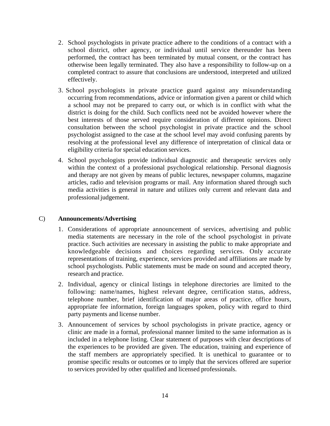- 2. School psychologists in private practice adhere to the conditions of a contract with a school district, other agency, or individual until service thereunder has been performed, the contract has been terminated by mutual consent, or the contract has otherwise been legally terminated. They also have a responsibility to follow-up on a completed contract to assure that conclusions are understood, interpreted and utilized effectively.
- 3. School psychologists in private practice guard against any misunderstanding occurring from recommendations, advice or information given a parent or child which a school may not be prepared to carry out, or which is in conflict with what the district is doing for the child. Such conflicts need not be avoided however where the best interests of those served require consideration of different opinions. Direct consultation between the school psychologist in private practice and the school psychologist assigned to the case at the school level may avoid confusing parents by resolving at the professional level any difference of interpretation of clinical data or eligibility criteria for special education services.
- 4. School psychologists provide individual diagnostic and therapeutic services only within the context of a professional psychological relationship. Personal diagnosis and therapy are not given by means of public lectures, newspaper columns, magazine articles, radio and television programs or mail. Any information shared through such media activities is general in nature and utilizes only current and relevant data and professional judgement.

#### C) **Announcements/Advertising**

- 1. Considerations of appropriate announcement of services, advertising and public media statements are necessary in the role of the school psychologist in private practice. Such activities are necessary in assisting the public to make appropriate and knowledgeable decisions and choices regarding services. Only accurate representations of training, experience, services provided and affiliations are made by school psychologists. Public statements must be made on sound and accepted theory, research and practice.
- 2. Individual, agency or clinical listings in telephone directories are limited to the following: name/names, highest relevant degree, certification status, address, telephone number, brief identification of major areas of practice, office hours, appropriate fee information, foreign languages spoken, policy with regard to third party payments and license number.
- 3. Announcement of services by school psychologists in private practice, agency or clinic are made in a formal, professional manner limited to the same information as is included in a telephone listing. Clear statement of purposes with clear descriptions of the experiences to be provided are given. The education, training and experience of the staff members are appropriately specified. It is unethical to guarantee or to promise specific results or outcomes or to imply that the services offered are superior to services provided by other qualified and licensed professionals.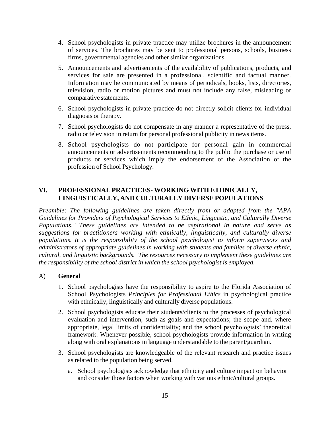- 4. School psychologists in private practice may utilize brochures in the announcement of services. The brochures may be sent to professional persons, schools, business firms, governmental agencies and other similar organizations.
- 5. Announcements and advertisements of the availability of publications, products, and services for sale are presented in a professional, scientific and factual manner. Information may be communicated by means of periodicals, books, lists, directories, television, radio or motion pictures and must not include any false, misleading or comparative statements.
- 6. School psychologists in private practice do not directly solicit clients for individual diagnosis or therapy.
- 7. School psychologists do not compensate in any manner a representative of the press, radio or television in return for personal professional publicity in news items.
- 8. School psychologists do not participate for personal gain in commercial announcements or advertisements recommending to the public the purchase or use of products or services which imply the endorsement of the Association or the profession of School Psychology.

## **VI. PROFESSIONAL PRACTICES- WORKING WITH ETHNICALLY, LINGUISTICALLY, AND CULTURALLY DIVERSE POPULATIONS**

*Preamble: The following guidelines are taken directly from or adapted from the "APA Guidelines for Providers of Psychological Services to Ethnic, Linguistic, and Culturally Diverse Populations." These guidelines are intended to be aspirational in nature and serve as suggestions for practitioners working with ethnically, linguistically, and culturally diverse populations. It is the responsibility of the school psychologist to inform supervisors and administrators of appropriate guidelines in working with students and families of diverse ethnic, cultural, and linguistic backgrounds. The resources necessary to implement these guidelines are the responsibility of the school district in which the school psychologist is employed.*

## A) **General**

- 1. School psychologists have the responsibility to aspire to the Florida Association of School Psychologists *Principles for Professional Ethics* in psychological practice with ethnically, linguistically and culturally diverse populations.
- 2. School psychologists educate their students/clients to the processes of psychological evaluation and intervention, such as goals and expectations; the scope and, where appropriate, legal limits of confidentiality; and the school psychologists' theoretical framework. Whenever possible, school psychologists provide information in writing along with oral explanations in language understandable to the parent/guardian.
- 3. School psychologists are knowledgeable of the relevant research and practice issues as related to the population being served.
	- a. School psychologists acknowledge that ethnicity and culture impact on behavior and consider those factors when working with various ethnic/cultural groups.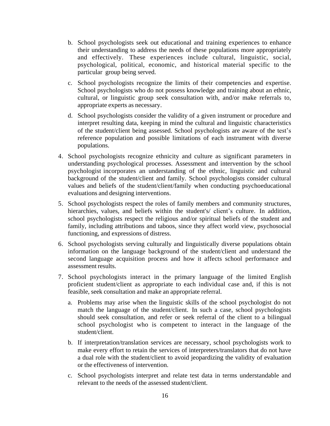- b. School psychologists seek out educational and training experiences to enhance their understanding to address the needs of these populations more appropriately and effectively. These experiences include cultural, linguistic, social, psychological, political, economic, and historical material specific to the particular group being served.
- c. School psychologists recognize the limits of their competencies and expertise. School psychologists who do not possess knowledge and training about an ethnic, cultural, or linguistic group seek consultation with, and/or make referrals to, appropriate experts as necessary.
- d. School psychologists consider the validity of a given instrument or procedure and interpret resulting data, keeping in mind the cultural and linguistic characteristics of the student/client being assessed. School psychologists are aware of the test's reference population and possible limitations of each instrument with diverse populations.
- 4. School psychologists recognize ethnicity and culture as significant parameters in understanding psychological processes. Assessment and intervention by the school psychologist incorporates an understanding of the ethnic, linguistic and cultural background of the student/client and family. School psychologists consider cultural values and beliefs of the student/client/family when conducting psychoeducational evaluations and designing interventions.
- 5. School psychologists respect the roles of family members and community structures, hierarchies, values, and beliefs within the student's/ client's culture. In addition, school psychologists respect the religious and/or spiritual beliefs of the student and family, including attributions and taboos, since they affect world view, psychosocial functioning, and expressions of distress.
- 6. School psychologists serving culturally and linguistically diverse populations obtain information on the language background of the student/client and understand the second language acquisition process and how it affects school performance and assessment results.
- 7. School psychologists interact in the primary language of the limited English proficient student/client as appropriate to each individual case and, if this is not feasible, seek consultation and make an appropriate referral.
	- a. Problems may arise when the linguistic skills of the school psychologist do not match the language of the student/client. In such a case, school psychologists should seek consultation, and refer or seek referral of the client to a bilingual school psychologist who is competent to interact in the language of the student/client.
	- b. If interpretation/translation services are necessary, school psychologists work to make every effort to retain the services of interpreters/translators that do not have a dual role with the student/client to avoid jeopardizing the validity of evaluation or the effectiveness of intervention.
	- c. School psychologists interpret and relate test data in terms understandable and relevant to the needs of the assessed student/client.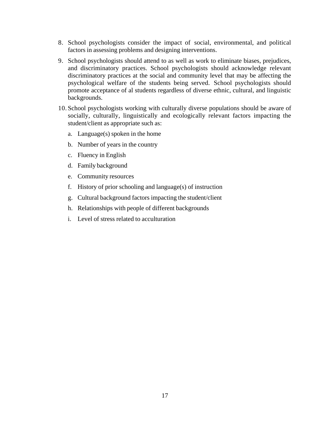- 8. School psychologists consider the impact of social, environmental, and political factors in assessing problems and designing interventions.
- 9. School psychologists should attend to as well as work to eliminate biases, prejudices, and discriminatory practices. School psychologists should acknowledge relevant discriminatory practices at the social and community level that may be affecting the psychological welfare of the students being served. School psychologists should promote acceptance of al students regardless of diverse ethnic, cultural, and linguistic backgrounds.
- 10. School psychologists working with culturally diverse populations should be aware of socially, culturally, linguistically and ecologically relevant factors impacting the student/client as appropriate such as:
	- a. Language(s) spoken in the home
	- b. Number of years in the country
	- c. Fluency in English
	- d. Family background
	- e. Community resources
	- f. History of prior schooling and language(s) of instruction
	- g. Cultural background factors impacting the student/client
	- h. Relationships with people of different backgrounds
	- i. Level of stress related to acculturation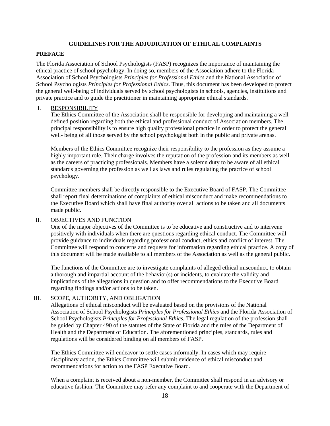#### **GUIDELINES FOR THE ADJUDICATION OF ETHICAL COMPLAINTS**

#### **PREFACE**

The Florida Association of School Psychologists (FASP) recognizes the importance of maintaining the ethical practice of school psychology. In doing so, members of the Association adhere to the Florida Association of School Psychologists *Principles for Professional Ethics* and the National Association of School Psychologists *Principles for Professional Ethics*. Thus, this document has been developed to protect the general well-being of individuals served by school psychologists in schools, agencies, institutions and private practice and to guide the practitioner in maintaining appropriate ethical standards.

#### I. RESPONSIBILITY

The Ethics Committee of the Association shall be responsible for developing and maintaining a welldefined position regarding both the ethical and professional conduct of Association members. The principal responsibility is to ensure high quality professional practice in order to protect the general well- being of all those served by the school psychologist both in the public and private arenas.

Members of the Ethics Committee recognize their responsibility to the profession as they assume a highly important role. Their charge involves the reputation of the profession and its members as well as the careers of practicing professionals. Members have a solemn duty to be aware of all ethical standards governing the profession as well as laws and rules regulating the practice of school psychology.

Committee members shall be directly responsible to the Executive Board of FASP. The Committee shall report final determinations of complaints of ethical misconduct and make recommendations to the Executive Board which shall have final authority over all actions to be taken and all documents made public.

#### II. OBJECTIVES AND FUNCTION

One of the major objectives of the Committee is to be educative and constructive and to intervene positively with individuals when there are questions regarding ethical conduct. The Committee will provide guidance to individuals regarding professional conduct, ethics and conflict of interest. The Committee will respond to concerns and requests for information regarding ethical practice. A copy of this document will be made available to all members of the Association as well as the general public.

The functions of the Committee are to investigate complaints of alleged ethical misconduct, to obtain a thorough and impartial account of the behavior(s) or incidents, to evaluate the validity and implications of the allegations in question and to offer recommendations to the Executive Board regarding findings and/or actions to be taken.

#### III. SCOPE, AUTHORITY, AND OBLIGATION

Allegations of ethical misconduct will be evaluated based on the provisions of the National Association of School Psychologists *Principles for Professional Ethics* and the Florida Association of School Psychologists *Principles for Professional Ethics.* The legal regulation of the profession shall be guided by Chapter 490 of the statutes of the State of Florida and the rules of the Department of Health and the Department of Education. The aforementioned principles, standards, rules and regulations will be considered binding on all members of FASP.

The Ethics Committee will endeavor to settle cases informally. In cases which may require disciplinary action, the Ethics Committee will submit evidence of ethical misconduct and recommendations for action to the FASP Executive Board.

When a complaint is received about a non-member, the Committee shall respond in an advisory or educative fashion. The Committee may refer any complaint to and cooperate with the Department of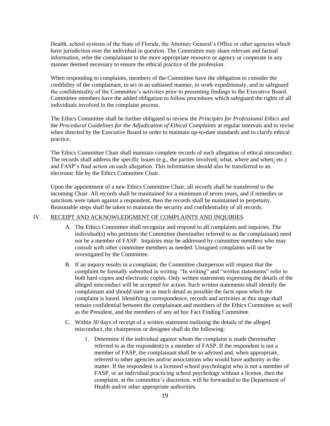Health, school systems of the State of Florida, the Attorney General's Office or other agencies which have jurisdiction over the individual in question. The Committee may share relevant and factual information, refer the complainant to the more appropriate resource or agency or cooperate in any manner deemed necessary to ensure the ethical practice of the profession.

When responding to complaints, members of the Committee have the obligation to consider the credibility of the complainant, to act in an unbiased manner, to work expeditiously, and to safeguard the confidentiality of the Committee's activities prior to presenting findings to the Executive Board. Committee members have the added obligation to follow procedures which safeguard the rights of all individuals involved in the complaint process.

The Ethics Committee shall be further obligated to review the *Principles for Professional Ethics* and the *Procedural Guidelines for the Adjudication of Ethical Complaints* at regular intervals and to revise when directed by the Executive Board in order to maintain up-to-date standards and to clarify ethical practice.

The Ethics Committee Chair shall maintain complete records of each allegation of ethical misconduct. The records shall address the specific issues (e.g., the parties involved; what, where and when; etc.) and FASP's final action on each allegation. This information should also be transferred to an electronic file by the Ethics Committee Chair.

Upon the appointment of a new Ethics Committee Chair, all records shall be transferred to the incoming Chair. All records shall be maintained for a minimum of seven years, and if remedies or sanctions were taken against a respondent, then the records shall be maintained in perpetuity. Reasonable steps shall be taken to maintain the security and confidentiality of all records.

#### IV. RECEIPT AND ACKNOWLEDGMENT OF COMPLAINTS AND INQUIRIES

- A. The Ethics Committee shall recognize and respond to all complaints and inquiries. The individual(s) who petitions the Committee (hereinafter referred to as the complainant) need not be a member of FASP. Inquiries may be addressed by committee members who may consult with other committee members as needed. Unsigned complaints will not be investigated by the Committee.
- B. If an inquiry results in a complaint, the Committee chairperson will request that the complaint be formally submitted in writing. "In writing" and "written statements" refer to both hard copies and electronic copies. Only written statements expressing the details of the alleged misconduct will be accepted for action. Such written statements shall identify the complainant and should state in as much detail as possible the facts upon which the complaint is based. Identifying correspondence, records and activities at this stage shall remain confidential between the complainant and members of the Ethics Committee as well as the President, and the members of any ad hoc Fact Finding Committee.
- C. Within 30 days of receipt of a written statement outlining the details of the alleged misconduct, the chairperson or designee shall do the following:
	- 1. Determine if the individual against whom the complaint is made (hereinafter referred to as the respondent) is a member of FASP. If the respondent is not a member of FASP, the complainant shall be so advised and, when appropriate, referred to other agencies and/or associations who would have authority in the matter. If the respondent is a licensed school psychologist who is not a member of FASP, or an individual practicing school psychology without a license, then the complaint, at the committee's discretion, will be forwarded to the Department of Health and/or other appropriate authorities.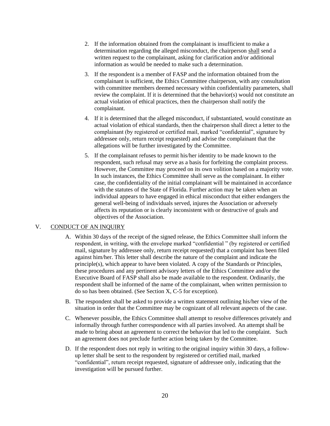- 2. If the information obtained from the complainant is insufficient to make a determination regarding the alleged misconduct, the chairperson shall send a written request to the complainant, asking for clarification and/or additional information as would be needed to make such a determination.
- 3. If the respondent is a member of FASP and the information obtained from the complainant is sufficient, the Ethics Committee chairperson, with any consultation with committee members deemed necessary within confidentiality parameters, shall review the complaint. If it is determined that the behavior(s) would not constitute an actual violation of ethical practices, then the chairperson shall notify the complainant.
- 4. If it is determined that the alleged misconduct, if substantiated, would constitute an actual violation of ethical standards, then the chairperson shall direct a letter to the complainant (by registered or certified mail, marked "confidential", signature by addressee only, return receipt requested) and advise the complainant that the allegations will be further investigated by the Committee.
- 5. If the complainant refuses to permit his/her identity to be made known to the respondent, such refusal may serve as a basis for forfeiting the complaint process. However, the Committee may proceed on its own volition based on a majority vote. In such instances, the Ethics Committee shall serve as the complainant. In either case, the confidentiality of the initial complainant will be maintained in accordance with the statutes of the State of Florida. Further action may be taken when an individual appears to have engaged in ethical misconduct that either endangers the general well-being of individuals served, injures the Association or adversely affects its reputation or is clearly inconsistent with or destructive of goals and objectives of the Association.

#### V. CONDUCT OF AN INQUIRY

- A. Within 30 days of the receipt of the signed release, the Ethics Committee shall inform the respondent, in writing, with the envelope marked "confidential " (by registered or certified mail, signature by addressee only, return receipt requested) that a complaint has been filed against him/her. This letter shall describe the nature of the complaint and indicate the principle(s), which appear to have been violated. A copy of the Standards or Principles, these procedures and any pertinent advisory letters of the Ethics Committee and/or the Executive Board of FASP shall also be made available to the respondent. Ordinarily, the respondent shall be informed of the name of the complainant, when written permission to do so has been obtained. (See Section X, C-5 for exception).
- B. The respondent shall be asked to provide a written statement outlining his/her view of the situation in order that the Committee may be cognizant of all relevant aspects of the case.
- C. Whenever possible, the Ethics Committee shall attempt to resolve differences privately and informally through further correspondence with all parties involved. An attempt shall be made to bring about an agreement to correct the behavior that led to the complaint. Such an agreement does not preclude further action being taken by the Committee.
- D. If the respondent does not reply in writing to the original inquiry within 30 days, a followup letter shall be sent to the respondent by registered or certified mail, marked "confidential", return receipt requested, signature of addressee only, indicating that the investigation will be pursued further.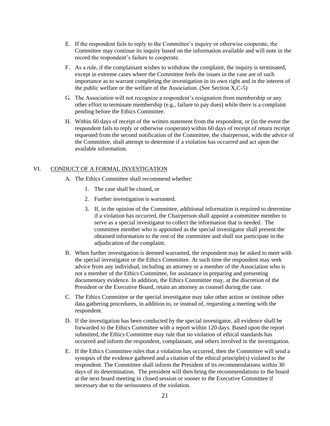- E. If the respondent fails to reply to the Committee's inquiry or otherwise cooperate, the Committee may continue its inquiry based on the information available and will note in the record the respondent's failure to cooperate.
- F. As a rule, if the complainant wishes to withdraw the complaint, the inquiry is terminated, except in extreme cases where the Committee feels the issues in the case are of such importance as to warrant completing the investigation in its own right and in the interest of the public welfare or the welfare of the Association. (See Section X,C-5)
- G. The Association will not recognize a respondent's resignation from membership or any other effort to terminate membership (e.g., failure to pay dues) while there is a complaint pending before the Ethics Committee.
- H. Within 60 days of receipt of the written statement from the respondent, or (in the event the respondent fails to reply or otherwise cooperate) within 60 days of receipt of return receipt requested from the second notification of the Committee, the chairperson, with the advice of the Committee, shall attempt to determine if a violation has occurred and act upon the available information.

#### VI. CONDUCT OF A FORMAL INVESTIGATION

- A. The Ethics Committee shall recommend whether:
	- 1. The case shall be closed, or
	- 2. Further investigation is warranted.
	- 3. If, in the opinion of the Committee, additional information is required to determine if a violation has occurred, the Chairperson shall appoint a committee member to serve as a special investigator to collect the information that is needed. The committee member who is appointed as the special investigator shall present the obtained information to the rest of the committee and shall not participate in the adjudication of the complaint.
- B. When further investigation is deemed warranted, the respondent may be asked to meet with the special investigator or the Ethics Committee. At such time the respondent may seek advice from any individual, including an attorney or a member of the Association who is not a member of the Ethics Committee, for assistance in preparing and presenting documentary evidence. In addition, the Ethics Committee may, at the discretion of the President or the Executive Board, retain an attorney as counsel during the case.
- C. The Ethics Committee or the special investigator may take other action or institute other data gathering procedures, in addition to, or instead of, requesting a meeting with the respondent.
- D. If the investigation has been conducted by the special investigator, all evidence shall be forwarded to the Ethics Committee with a report within 120 days. Based upon the report submitted, the Ethics Committee may rule that no violation of ethical standards has occurred and inform the respondent, complainant, and others involved in the investigation.
- E. If the Ethics Committee rules that a violation has occurred, then the Committee will send a synopsis of the evidence gathered and a citation of the ethical principle(s) violated to the respondent. The Committee shall inform the President of its recommendations within 30 days of its determination. The president will then bring the recommendations to the board at the next board meeting in closed session or sooner to the Executive Committee if necessary due to the seriousness of the violation.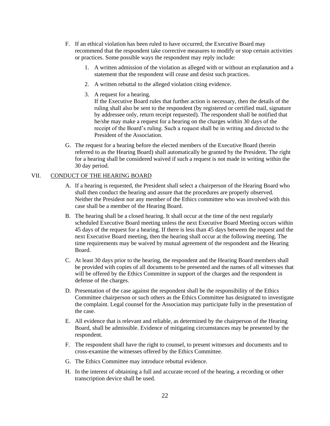- F. If an ethical violation has been ruled to have occurred, the Executive Board may recommend that the respondent take corrective measures to modify or stop certain activities or practices. Some possible ways the respondent may reply include:
	- 1. A written admission of the violation as alleged with or without an explanation and a statement that the respondent will cease and desist such practices.
	- 2. A written rebuttal to the alleged violation citing evidence.
	- 3. A request for a hearing.

If the Executive Board rules that further action is necessary, then the details of the ruling shall also be sent to the respondent (by registered or certified mail, signature by addressee only, return receipt requested). The respondent shall be notified that he/she may make a request for a hearing on the charges within 30 days of the receipt of the Board's ruling. Such a request shall be in writing and directed to the President of the Association.

G. The request for a hearing before the elected members of the Executive Board (herein referred to as the Hearing Board) shall automatically be granted by the President. The right for a hearing shall be considered waived if such a request is not made in writing within the 30 day period.

#### VII. CONDUCT OF THE HEARING BOARD

- A. If a hearing is requested, the President shall select a chairperson of the Hearing Board who shall then conduct the hearing and assure that the procedures are properly observed. Neither the President nor any member of the Ethics committee who was involved with this case shall be a member of the Hearing Board.
- B. The hearing shall be a closed hearing. It shall occur at the time of the next regularly scheduled Executive Board meeting unless the next Executive Board Meeting occurs within 45 days of the request for a hearing. If there is less than 45 days between the request and the next Executive Board meeting, then the hearing shall occur at the following meeting. The time requirements may be waived by mutual agreement of the respondent and the Hearing Board.
- C. At least 30 days prior to the hearing, the respondent and the Hearing Board members shall be provided with copies of all documents to be presented and the names of all witnesses that will be offered by the Ethics Committee in support of the charges and the respondent in defense of the charges.
- D. Presentation of the case against the respondent shall be the responsibility of the Ethics Committee chairperson or such others as the Ethics Committee has designated to investigate the complaint. Legal counsel for the Association may participate fully in the presentation of the case.
- E. All evidence that is relevant and reliable, as determined by the chairperson of the Hearing Board, shall be admissible. Evidence of mitigating circumstances may be presented by the respondent.
- F. The respondent shall have the right to counsel, to present witnesses and documents and to cross-examine the witnesses offered by the Ethics Committee.
- G. The Ethics Committee may introduce rebuttal evidence.
- H. In the interest of obtaining a full and accurate record of the hearing, a recording or other transcription device shall be used.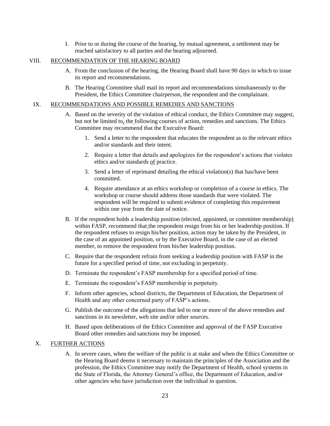I. Prior to or during the course of the hearing, by mutual agreement, a settlement may be reached satisfactory to all parties and the hearing adjourned.

#### VIII. RECOMMENDATION OF THE HEARING BOARD

- A. From the conclusion of the hearing, the Hearing Board shall have 90 days in which to issue its report and recommendations.
- B. The Hearing Committee shall mail its report and recommendations simultaneously to the President, the Ethics Committee chairperson, the respondent and the complainant.

#### IX. RECOMMENDATIONS AND POSSIBLE REMEDIES AND SANCTIONS

- A. Based on the severity of the violation of ethical conduct, the Ethics Committee may suggest, but not be limited to, the following courses of action, remedies and sanctions. The Ethics Committee may recommend that the Executive Board:
	- 1. Send a letter to the respondent that educates the respondent as to the relevant ethics and/or standards and their intent.
	- 2. Require a letter that details and apologizes for the respondent's actions that violates ethics and/or standards of practice.
	- 3. Send a letter of reprimand detailing the ethical violation(s) that has/have been committed.
	- 4. Require attendance at an ethics workshop or completion of a course in ethics. The workshop or course should address those standards that were violated. The respondent will be required to submit evidence of completing this requirement within one year from the date of notice.
- B. If the respondent holds a leadership position (elected, appointed, or committee membership) within FASP, recommend that the respondent resign from his or her leadership position. If the respondent refuses to resign his/her position, action may be taken by the President, in the case of an appointed position, or by the Executive Board, in the case of an elected member, to remove the respondent from his/her leadership position.
- C. Require that the respondent refrain from seeking a leadership position with FASP in the future for a specified period of time, not excluding in perpetuity.
- D. Terminate the respondent's FASP membership for a specified period of time.
- E. Terminate the respondent's FASP membership in perpetuity.
- F. Inform other agencies, school districts, the Department of Education, the Department of Health and any other concerned party of FASP's actions.
- G. Publish the outcome of the allegations that led to one or more of the above remedies and sanctions in its newsletter, web site and/or other sources.
- H. Based upon deliberations of the Ethics Committee and approval of the FASP Executive Board other remedies and sanctions may be imposed.

#### X. FURTHER ACTIONS

A. In severe cases, when the welfare of the public is at stake and when the Ethics Committee or the Hearing Board deems it necessary to maintain the principles of the Association and the profession, the Ethics Committee may notify the Department of Health, school systems in the State of Florida, the Attorney General's office, the Department of Education, and/or other agencies who have jurisdiction over the individual in question.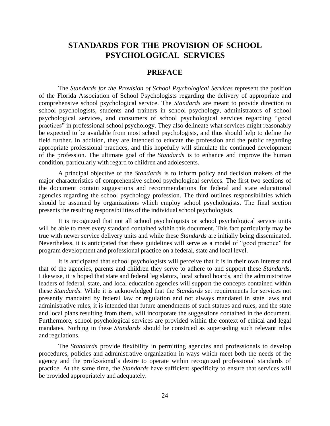# **STANDARDS FOR THE PROVISION OF SCHOOL PSYCHOLOGICAL SERVICES**

## **PREFACE**

The *Standards for the Provision of School Psychological Services* represent the position of the Florida Association of School Psychologists regarding the delivery of appropriate and comprehensive school psychological service. The *Standards* are meant to provide direction to school psychologists, students and trainers in school psychology, administrators of school psychological services, and consumers of school psychological services regarding "good practices" in professional school psychology. They also delineate what services might reasonably be expected to be available from most school psychologists, and thus should help to define the field further. In addition, they are intended to educate the profession and the public regarding appropriate professional practices, and this hopefully will stimulate the continued development of the profession. The ultimate goal of the *Standards* is to enhance and improve the human condition, particularly with regard to children and adolescents.

A principal objective of the *Standards* is to inform policy and decision makers of the major characteristics of comprehensive school psychological services. The first two sections of the document contain suggestions and recommendations for federal and state educational agencies regarding the school psychology profession. The third outlines responsibilities which should be assumed by organizations which employ school psychologists. The final section presents the resulting responsibilities of the individual school psychologists.

It is recognized that not all school psychologists or school psychological service units will be able to meet every standard contained within this document. This fact particularly may be true with newer service delivery units and while these *Standards* are initially being disseminated. Nevertheless, it is anticipated that these guidelines will serve as a model of "good practice" for program development and professional practice on a federal, state and local level.

It is anticipated that school psychologists will perceive that it is in their own interest and that of the agencies, parents and children they serve to adhere to and support these *Standards*. Likewise, it is hoped that state and federal legislators, local school boards, and the administrative leaders of federal, state, and local education agencies will support the concepts contained within these *Standards*. While it is acknowledged that the *Standards* set requirements for services not presently mandated by federal law or regulation and not always mandated in state laws and administrative rules, it is intended that future amendments of such statues and rules, and the state and local plans resulting from them, will incorporate the suggestions contained in the document. Furthermore, school psychological services are provided within the context of ethical and legal mandates. Nothing in these *Standards* should be construed as superseding such relevant rules and regulations.

The *Standards* provide flexibility in permitting agencies and professionals to develop procedures, policies and administrative organization in ways which meet both the needs of the agency and the professional's desire to operate within recognized professional standards of practice. At the same time, the *Standards* have sufficient specificity to ensure that services will be provided appropriately and adequately.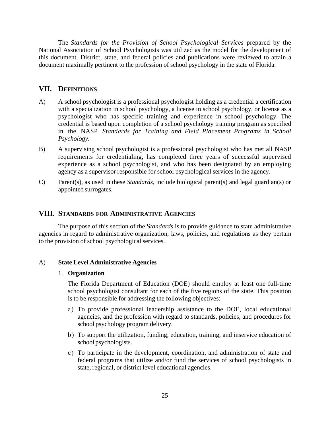The *Standards for the Provision of School Psychological Services* prepared by the National Association of School Psychologists was utilized as the model for the development of this document. District, state, and federal policies and publications were reviewed to attain a document maximally pertinent to the profession of school psychology in the state of Florida.

# **VII. DEFINITIONS**

- A) A school psychologist is a professional psychologist holding as a credential a certification with a specialization in school psychology, a license in school psychology, or license as a psychologist who has specific training and experience in school psychology. The credential is based upon completion of a school psychology training program as specified in the NASP *Standards for Training and Field Placement Programs in School Psychology.*
- B) A supervising school psychologist is a professional psychologist who has met all NASP requirements for credentialing, has completed three years of successful supervised experience as a school psychologist, and who has been designated by an employing agency as a supervisor responsible for school psychological services in the agency.
- C) Parent(s), as used in these *Standards*, include biological parent(s) and legal guardian(s) or appointed surrogates.

## **VIII. STANDARDS FOR ADMINISTRATIVE AGENCIES**

The purpose of this section of the S*tandards* is to provide guidance to state administrative agencies in regard to administrative organization, laws, policies, and regulations as they pertain to the provision of school psychological services.

#### A) **State Level Administrative Agencies**

#### 1. **Organization**

The Florida Department of Education (DOE) should employ at least one full-time school psychologist consultant for each of the five regions of the state. This position is to be responsible for addressing the following objectives:

- a) To provide professional leadership assistance to the DOE, local educational agencies, and the profession with regard to standards, policies, and procedures for school psychology program delivery.
- b) To support the utilization, funding, education, training, and inservice education of school psychologists.
- c) To participate in the development, coordination, and administration of state and federal programs that utilize and/or fund the services of school psychologists in state, regional, or district level educational agencies.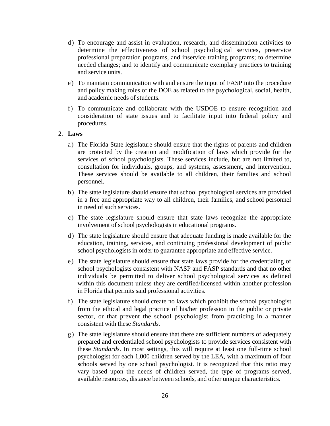- d) To encourage and assist in evaluation, research, and dissemination activities to determine the effectiveness of school psychological services, preservice professional preparation programs, and inservice training programs; to determine needed changes; and to identify and communicate exemplary practices to training and service units.
- e) To maintain communication with and ensure the input of FASP into the procedure and policy making roles of the DOE as related to the psychological, social, health, and academic needs of students.
- f) To communicate and collaborate with the USDOE to ensure recognition and consideration of state issues and to facilitate input into federal policy and procedures.

#### 2. **Laws**

- a) The Florida State legislature should ensure that the rights of parents and children are protected by the creation and modification of laws which provide for the services of school psychologists. These services include, but are not limited to, consultation for individuals, groups, and systems, assessment, and intervention. These services should be available to all children, their families and school personnel.
- b) The state legislature should ensure that school psychological services are provided in a free and appropriate way to all children, their families, and school personnel in need of such services.
- c) The state legislature should ensure that state laws recognize the appropriate involvement of school psychologists in educational programs.
- d) The state legislature should ensure that adequate funding is made available for the education, training, services, and continuing professional development of public school psychologists in order to guarantee appropriate and effective service.
- e) The state legislature should ensure that state laws provide for the credentialing of school psychologists consistent with NASP and FASP standards and that no other individuals be permitted to deliver school psychological services as defined within this document unless they are certified/licensed within another profession in Florida that permits said professional activities.
- f) The state legislature should create no laws which prohibit the school psychologist from the ethical and legal practice of his/her profession in the public or private sector, or that prevent the school psychologist from practicing in a manner consistent with these *Standards.*
- g) The state legislature should ensure that there are sufficient numbers of adequately prepared and credentialed school psychologists to provide services consistent with these *Standards*. In most settings, this will require at least one full-time school psychologist for each 1,000 children served by the LEA, with a maximum of four schools served by one school psychologist. It is recognized that this ratio may vary based upon the needs of children served, the type of programs served, available resources, distance between schools, and other unique characteristics.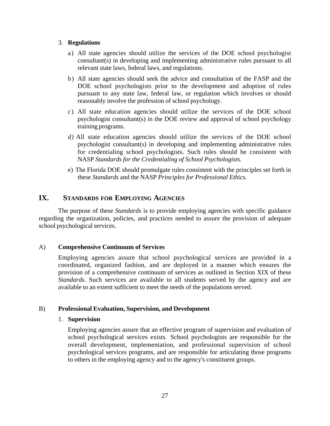### 3. **Regulations**

- a) All state agencies should utilize the services of the DOE school psychologist consultant(s) in developing and implementing administrative rules pursuant to all relevant state laws, federal laws, and regulations.
- b) All state agencies should seek the advice and consultation of the FASP and the DOE school psychologists prior to the development and adoption of rules pursuant to any state law, federal law, or regulation which involves or should reasonably involve the profession of school psychology.
- c) All state education agencies should utilize the services of the DOE school psychologist consultant(s) in the DOE review and approval of school psychology training programs.
- *d)* All state education agencies should utilize the services of the DOE school psychologist consultant(s) in developing and implementing administrative rules for credentialing school psychologists. Such rules should be consistent with NASP *Standards for the Credentialing of School Psychologists.*
- e) The Florida DOE should promulgate rules consistent with the principles set forth in these *Standards* and the NASP *Principles for Professional Ethics*.

## **IX. STANDARDS FOR EMPLOYING AGENCIES**

The purpose of these *Standards* is to provide employing agencies with specific guidance regarding the organization, policies, and practices needed to assure the provision of adequate school psychological services.

## A) **Comprehensive Continuum of Services**

Employing agencies assure that school psychological services are provided in a coordinated, organized fashion, and are deployed in a manner which ensures the provision of a comprehensive continuum of services as outlined in Section XIX of these *Standards*. Such services are available to all students served by the agency and are available to an extent sufficient to meet the needs of the populations served.

#### B) **Professional Evaluation, Supervision, and Development**

#### 1. **Supervision**

Employing agencies assure that an effective program of supervision and evaluation of school psychological services exists. School psychologists are responsible for the overall development, implementation, and professional supervision of school psychological services programs, and are responsible for articulating those programs to others in the employing agency and to the agency's constituent groups.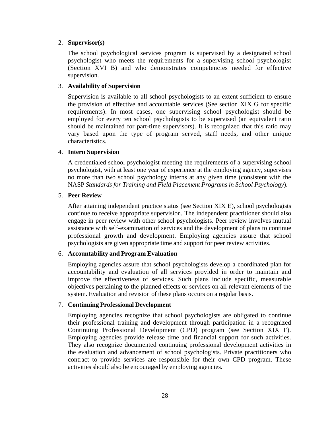#### 2. **Supervisor(s)**

The school psychological services program is supervised by a designated school psychologist who meets the requirements for a supervising school psychologist (Section XVI B) and who demonstrates competencies needed for effective supervision.

### 3. **Availability of Supervision**

Supervision is available to all school psychologists to an extent sufficient to ensure the provision of effective and accountable services (See section XIX G for specific requirements). In most cases, one supervising school psychologist should be employed for every ten school psychologists to be supervised (an equivalent ratio should be maintained for part-time supervisors). It is recognized that this ratio may vary based upon the type of program served, staff needs, and other unique characteristics.

#### 4. **Intern Supervision**

A credentialed school psychologist meeting the requirements of a supervising school psychologist, with at least one year of experience at the employing agency, supervises no more than two school psychology interns at any given time (consistent with the NASP *Standards for Training and Field Placement Programs in School Psychology*).

### 5. **Peer Review**

After attaining independent practice status (see Section XIX E), school psychologists continue to receive appropriate supervision. The independent practitioner should also engage in peer review with other school psychologists. Peer review involves mutual assistance with self-examination of services and the development of plans to continue professional growth and development. Employing agencies assure that school psychologists are given appropriate time and support for peer review activities.

#### 6. **Accountability and Program Evaluation**

Employing agencies assure that school psychologists develop a coordinated plan for accountability and evaluation of all services provided in order to maintain and improve the effectiveness of services. Such plans include specific, measurable objectives pertaining to the planned effects or services on all relevant elements of the system. Evaluation and revision of these plans occurs on a regular basis.

#### 7. **Continuing Professional Development**

Employing agencies recognize that school psychologists are obligated to continue their professional training and development through participation in a recognized Continuing Professional Development (CPD) program (see Section XIX F). Employing agencies provide release time and financial support for such activities. They also recognize documented continuing professional development activities in the evaluation and advancement of school psychologists. Private practitioners who contract to provide services are responsible for their own CPD program. These activities should also be encouraged by employing agencies.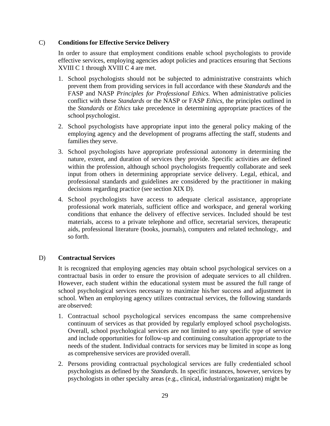### C) **Conditions for Effective Service Delivery**

In order to assure that employment conditions enable school psychologists to provide effective services, employing agencies adopt policies and practices ensuring that Sections XVIII C 1 through XVIII C 4 are met.

- 1. School psychologists should not be subjected to administrative constraints which prevent them from providing services in full accordance with these *Standards* and the FASP and NASP *Principles for Professional Ethics.* When administrative policies conflict with these *Standards* or the NASP or FASP *Ethics*, the principles outlined in the *Standards* or *Ethics* take precedence in determining appropriate practices of the school psychologist.
- 2. School psychologists have appropriate input into the general policy making of the employing agency and the development of programs affecting the staff, students and families they serve.
- 3. School psychologists have appropriate professional autonomy in determining the nature, extent, and duration of services they provide. Specific activities are defined within the profession, although school psychologists frequently collaborate and seek input from others in determining appropriate service delivery. Legal, ethical, and professional standards and guidelines are considered by the practitioner in making decisions regarding practice (see section XIX D).
- 4. School psychologists have access to adequate clerical assistance, appropriate professional work materials, sufficient office and workspace, and general working conditions that enhance the delivery of effective services. Included should be test materials, access to a private telephone and office, secretarial services, therapeutic aids, professional literature (books, journals), computers and related technology, and so forth.

## D) **Contractual Services**

It is recognized that employing agencies may obtain school psychological services on a contractual basis in order to ensure the provision of adequate services to all children. However, each student within the educational system must be assured the full range of school psychological services necessary to maximize his/her success and adjustment in school. When an employing agency utilizes contractual services, the following standards are observed:

- 1. Contractual school psychological services encompass the same comprehensive continuum of services as that provided by regularly employed school psychologists. Overall, school psychological services are not limited to any specific type of service and include opportunities for follow-up and continuing consultation appropriate to the needs of the student. Individual contracts for services may be limited in scope as long as comprehensive services are provided overall.
- 2. Persons providing contractual psychological services are fully credentialed school psychologists as defined by the *Standards*. In specific instances, however, services by psychologists in other specialty areas (e.g., clinical, industrial/organization) might be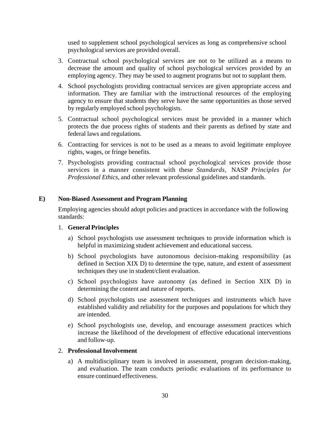used to supplement school psychological services as long as comprehensive school psychological services are provided overall.

- 3. Contractual school psychological services are not to be utilized as a means to decrease the amount and quality of school psychological services provided by an employing agency. They may be used to augment programs but not to supplant them.
- 4. School psychologists providing contractual services are given appropriate access and information. They are familiar with the instructional resources of the employing agency to ensure that students they serve have the same opportunities as those served by regularly employed school psychologists.
- 5. Contractual school psychological services must be provided in a manner which protects the due process rights of students and their parents as defined by state and federal laws and regulations.
- 6. Contracting for services is not to be used as a means to avoid legitimate employee rights, wages, or fringe benefits.
- 7. Psychologists providing contractual school psychological services provide those services in a manner consistent with these *Standards,* NASP *Principles for Professional Ethics*, and other relevant professional guidelines and standards.

#### **E) Non-Biased Assessment and Program Planning**

Employing agencies should adopt policies and practices in accordance with the following standards:

#### 1. **General Principles**

- a) School psychologists use assessment techniques to provide information which is helpful in maximizing student achievement and educational success.
- b) School psychologists have autonomous decision-making responsibility (as defined in Section XIX D) to determine the type, nature, and extent of assessment techniques they use in student/client evaluation.
- c) School psychologists have autonomy (as defined in Section XIX D) in determining the content and nature of reports.
- d) School psychologists use assessment techniques and instruments which have established validity and reliability for the purposes and populations for which they are intended.
- e) School psychologists use, develop, and encourage assessment practices which increase the likelihood of the development of effective educational interventions and follow-up.

#### 2. **ProfessionalInvolvement**

a) A multidisciplinary team is involved in assessment, program decision-making, and evaluation. The team conducts periodic evaluations of its performance to ensure continued effectiveness.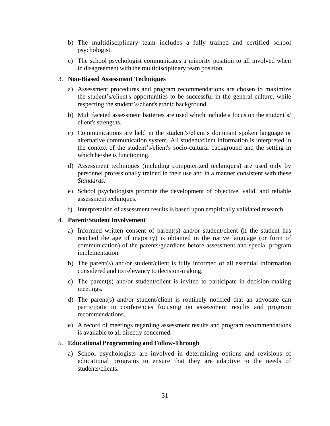- b) The multidisciplinary team includes a fully trained and certified school psychologist.
- c) The school psychologist communicates a minority position to all involved when in disagreement with the multidisciplinary team position.

#### 3. **Non-Biased Assessment Techniques**

- a) Assessment procedures and program recommendations are chosen to maximize the student's/client's opportunities to be successful in the general culture, while respecting the student's/client's ethnic background.
- b) Multifaceted assessment batteries are used which include a focus on the student's/ client's strengths.
- c) Communications are held in the student's/client's dominant spoken language or alternative communication system. All student/client information is interpreted in the context of the student's/client's socio-cultural background and the setting in which he/she is functioning.
- d) Assessment techniques (including computerized techniques) are used only by personnel professionally trained in their use and in a manner consistent with these *Standards.*
- e) School psychologists promote the development of objective, valid, and reliable assessment techniques.
- f) Interpretation of assessment results is based upon empirically validated research.

#### 4. **Parent/Student Involvement**

- a) Informed written consent of parent(s) and/or student/client (if the student has reached the age of majority) is obtained in the native language (or form of communication) of the parents/guardians before assessment and special program implementation.
- b) The parent(s) and/or student/client is fully informed of all essential information considered and its relevancy to decision-making.
- c) The parent(s) and/or student/client is invited to participate in decision-making meetings.
- d) The parent(s) and/or student/client is routinely notified that an advocate can participate in conferences focusing on assessment results and program recommendations.
- e) A record of meetings regarding assessment results and program recommendations is available to all directly concerned.

#### 5. **Educational Programming and Follow-Through**

a) School psychologists are involved in determining options and revisions of educational programs to ensure that they are adaptive to the needs of students/clients.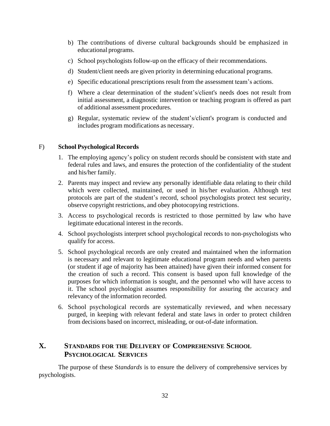- b) The contributions of diverse cultural backgrounds should be emphasized in educational programs.
- c) School psychologists follow-up on the efficacy of their recommendations.
- d) Student/client needs are given priority in determining educational programs.
- e) Specific educational prescriptions result from the assessment team's actions.
- f) Where a clear determination of the student's/client's needs does not result from initial assessment, a diagnostic intervention or teaching program is offered as part of additional assessment procedures.
- g) Regular, systematic review of the student's/client's program is conducted and includes program modifications as necessary.

#### F) **School Psychological Records**

- 1. The employing agency's policy on student records should be consistent with state and federal rules and laws, and ensures the protection of the confidentiality of the student and his/her family.
- 2. Parents may inspect and review any personally identifiable data relating to their child which were collected, maintained, or used in his/her evaluation. Although test protocols are part of the student's record, school psychologists protect test security, observe copyright restrictions, and obey photocopying restrictions.
- 3. Access to psychological records is restricted to those permitted by law who have legitimate educational interest in the records.
- 4. School psychologists interpret school psychological records to non-psychologists who qualify for access.
- 5. School psychological records are only created and maintained when the information is necessary and relevant to legitimate educational program needs and when parents (or student if age of majority has been attained) have given their informed consent for the creation of such a record. This consent is based upon full knowledge of the purposes for which information is sought, and the personnel who will have access to it. The school psychologist assumes responsibility for assuring the accuracy and relevancy of the information recorded.
- 6. School psychological records are systematically reviewed, and when necessary purged, in keeping with relevant federal and state laws in order to protect children from decisions based on incorrect, misleading, or out-of-date information.

# **X. STANDARDS FOR THE DELIVERY OF COMPREHENSIVE SCHOOL PSYCHOLOGICAL SERVICES**

The purpose of these S*tandards* is to ensure the delivery of comprehensive services by psychologists.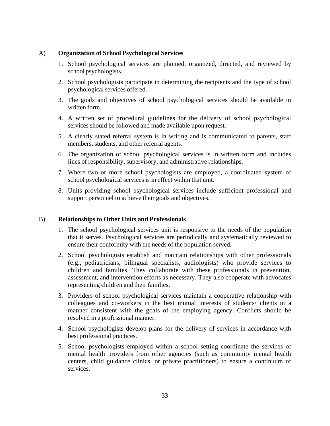## A) **Organization of School Psychological Services**

- 1. School psychological services are planned, organized, directed, and reviewed by school psychologists.
- 2. School psychologists participate in determining the recipients and the type of school psychological services offered.
- 3. The goals and objectives of school psychological services should be available in written form.
- 4. A written set of procedural guidelines for the delivery of school psychological services should be followed and made available upon request.
- 5. A clearly stated referral system is in writing and is communicated to parents, staff members, students, and other referral agents.
- 6. The organization of school psychological services is in written form and includes lines of responsibility, supervisory, and administrative relationships.
- 7. Where two or more school psychologists are employed, a coordinated system of school psychological services is in effect within that unit.
- 8. Units providing school psychological services include sufficient professional and support personnel to achieve their goals and objectives.

#### B) **Relationships to Other Units and Professionals**

- 1. The school psychological services unit is responsive to the needs of the population that it serves. Psychological services are periodically and systematically reviewed to ensure their conformity with the needs of the population served.
- 2. School psychologists establish and maintain relationships with other professionals (e.g., pediatricians, bilingual specialists, audiologists) who provide services to children and families. They collaborate with these professionals in prevention, assessment, and intervention efforts as necessary. They also cooperate with advocates representing children and their families.
- 3. Providers of school psychological services maintain a cooperative relationship with colleagues and co-workers in the best mutual interests of students/ clients in a manner consistent with the goals of the employing agency. Conflicts should be resolved in a professional manner.
- 4. School psychologists develop plans for the delivery of services in accordance with best professional practices.
- 5. School psychologists employed within a school setting coordinate the services of mental health providers from other agencies (such as community mental health centers, child guidance clinics, or private practitioners) to ensure a continuum of services.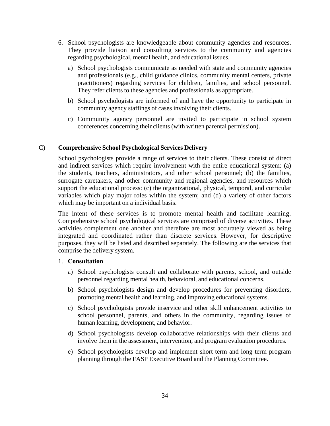- 6. School psychologists are knowledgeable about community agencies and resources. They provide liaison and consulting services to the community and agencies regarding psychological, mental health, and educational issues.
	- a) School psychologists communicate as needed with state and community agencies and professionals (e.g., child guidance clinics, community mental centers, private practitioners) regarding services for children, families, and school personnel. They refer clients to these agencies and professionals as appropriate.
	- b) School psychologists are informed of and have the opportunity to participate in community agency staffings of cases involving their clients.
	- c) Community agency personnel are invited to participate in school system conferences concerning their clients (with written parental permission).

### C) **Comprehensive School Psychological Services Delivery**

School psychologists provide a range of services to their clients. These consist of direct and indirect services which require involvement with the entire educational system: (a) the students, teachers, administrators, and other school personnel; (b) the families, surrogate caretakers, and other community and regional agencies, and resources which support the educational process: (c) the organizational, physical, temporal, and curricular variables which play major roles within the system; and (d) a variety of other factors which may be important on a individual basis.

The intent of these services is to promote mental health and facilitate learning. Comprehensive school psychological services are comprised of diverse activities. These activities complement one another and therefore are most accurately viewed as being integrated and coordinated rather than discrete services. However, for descriptive purposes, they will be listed and described separately. The following are the services that comprise the delivery system.

#### 1. **Consultation**

- a) School psychologists consult and collaborate with parents, school, and outside personnel regarding mental health, behavioral, and educational concerns.
- b) School psychologists design and develop procedures for preventing disorders, promoting mental health and learning, and improving educational systems.
- c) School psychologists provide inservice and other skill enhancement activities to school personnel, parents, and others in the community, regarding issues of human learning, development, and behavior.
- d) School psychologists develop collaborative relationships with their clients and involve them in the assessment, intervention, and program evaluation procedures.
- e) School psychologists develop and implement short term and long term program planning through the FASP Executive Board and the Planning Committee.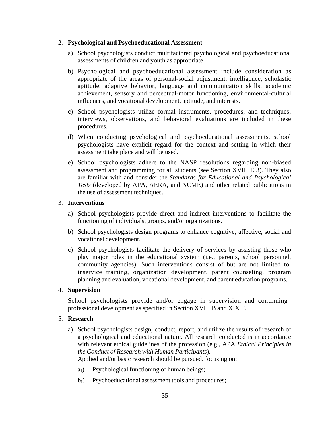#### 2. **Psychological and Psychoeducational Assessment**

- a) School psychologists conduct multifactored psychological and psychoeducational assessments of children and youth as appropriate.
- b) Psychological and psychoeducational assessment include consideration as appropriate of the areas of personal-social adjustment, intelligence, scholastic aptitude, adaptive behavior, language and communication skills, academic achievement, sensory and perceptual-motor functioning, environmental-cultural influences, and vocational development, aptitude, and interests.
- c) School psychologists utilize formal instruments, procedures, and techniques; interviews, observations, and behavioral evaluations are included in these procedures.
- d) When conducting psychological and psychoeducational assessments, school psychologists have explicit regard for the context and setting in which their assessment take place and will be used.
- e) School psychologists adhere to the NASP resolutions regarding non-biased assessment and programming for all students (see Section XVIII E 3). They also are familiar with and consider the *Standards for Educational and Psychological Tests* (developed by APA, AERA, and NCME) and other related publications in the use of assessment techniques.

#### 3. **Interventions**

- a) School psychologists provide direct and indirect interventions to facilitate the functioning of individuals, groups, and/or organizations.
- b) School psychologists design programs to enhance cognitive, affective, social and vocational development.
- c) School psychologists facilitate the delivery of services by assisting those who play major roles in the educational system (i.e., parents, school personnel, community agencies). Such interventions consist of but are not limited to: inservice training, organization development, parent counseling, program planning and evaluation, vocational development, and parent education programs.

#### 4. **Supervision**

School psychologists provide and/or engage in supervision and continuing professional development as specified in Section XVIII B and XIX F.

#### 5. **Research**

- a) School psychologists design, conduct, report, and utilize the results of research of a psychological and educational nature. All research conducted is in accordance with relevant ethical guidelines of the profession (e.g., APA *Ethical Principles in the Conduct of Research with Human Participants*). Applied and/or basic research should be pursued, focusing on:
	- a1) Psychological functioning of human beings;
	- $b_1$ ) Psychoeducational assessment tools and procedures;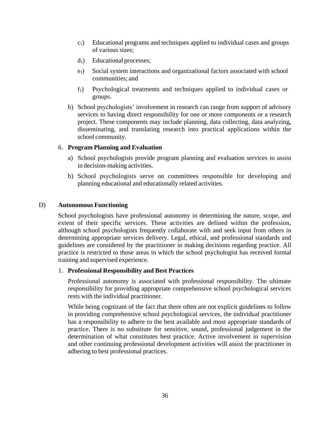- $c_1$ ) Educational programs and techniques applied to individual cases and groups of various sizes;
- $d_1$ ) Educational processes;
- e1) Social system interactions and organizational factors associated with school communities; and
- f1) Psychological treatments and techniques applied to individual cases or groups.
- b) School psychologists' involvement in research can range from support of advisory services to having direct responsibility for one or more components or a research project. These components may include planning, data collecting, data analyzing, disseminating, and translating research into practical applications within the school community.

### 6. **Program Planning and Evaluation**

- a) School psychologists provide program planning and evaluation services to assist in decision-making activities.
- b) School psychologists serve on committees responsible for developing and planning educational and educationally related activities.

#### D) **Autonomous Functioning**

School psychologists have professional autonomy in determining the nature, scope, and extent of their specific services. These activities are defined within the profession, although school psychologists frequently collaborate with and seek input from others in determining appropriate services delivery. Legal, ethical, and professional standards and guidelines are considered by the practitioner in making decisions regarding practice. All practice is restricted to those areas in which the school psychologist has received formal training and supervised experience.

#### 1. **Professional Responsibility and Best Practices**

Professional autonomy is associated with professional responsibility. The ultimate responsibility for providing appropriate comprehensive school psychological services rests with the individual practitioner.

While being cognizant of the fact that there often are not explicit guidelines to follow in providing comprehensive school psychological services, the individual practitioner has a responsibility to adhere to the best available and most appropriate standards of practice. There is no substitute for sensitive, sound, professional judgement in the determination of what constitutes best practice. Active involvement in supervision and other continuing professional development activities will assist the practitioner in adhering to best professional practices.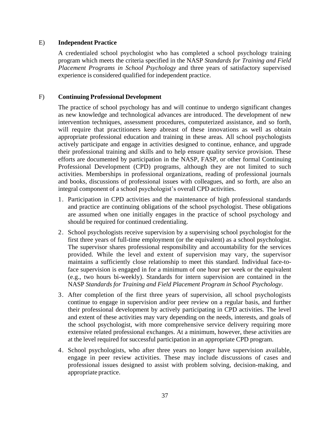#### E) **Independent Practice**

A credentialed school psychologist who has completed a school psychology training program which meets the criteria specified in the NASP *Standards for Training and Field Placement Programs in School Psychology* and three years of satisfactory supervised experience is considered qualified for independent practice.

## F) **Continuing Professional Development**

The practice of school psychology has and will continue to undergo significant changes as new knowledge and technological advances are introduced. The development of new intervention techniques, assessment procedures, computerized assistance, and so forth, will require that practitioners keep abreast of these innovations as well as obtain appropriate professional education and training in these areas. All school psychologists actively participate and engage in activities designed to continue, enhance, and upgrade their professional training and skills and to help ensure quality service provision. These efforts are documented by participation in the NASP, FASP, or other formal Continuing Professional Development (CPD) programs, although they are not limited to such activities. Memberships in professional organizations, reading of professional journals and books, discussions of professional issues with colleagues, and so forth, are also an integral component of a school psychologist's overall CPD activities.

- 1. Participation in CPD activities and the maintenance of high professional standards and practice are continuing obligations of the school psychologist. These obligations are assumed when one initially engages in the practice of school psychology and should be required for continued credentialing.
- 2. School psychologists receive supervision by a supervising school psychologist for the first three years of full-time employment (or the equivalent) as a school psychologist. The supervisor shares professional responsibility and accountability for the services provided. While the level and extent of supervision may vary, the supervisor maintains a sufficiently close relationship to meet this standard. Individual face-toface supervision is engaged in for a minimum of one hour per week or the equivalent (e.g., two hours bi-weekly). Standards for intern supervision are contained in the NASP *Standards for Training and Field Placement Program in School Psychology*.
- 3. After completion of the first three years of supervision, all school psychologists continue to engage in supervision and/or peer review on a regular basis, and further their professional development by actively participating in CPD activities. The level and extent of these activities may vary depending on the needs, interests, and goals of the school psychologist, with more comprehensive service delivery requiring more extensive related professional exchanges. At a minimum, however, these activities are at the level required for successful participation in an appropriate CPD program.
- 4. School psychologists, who after three years no longer have supervision available, engage in peer review activities. These may include discussions of cases and professional issues designed to assist with problem solving, decision-making, and appropriate practice.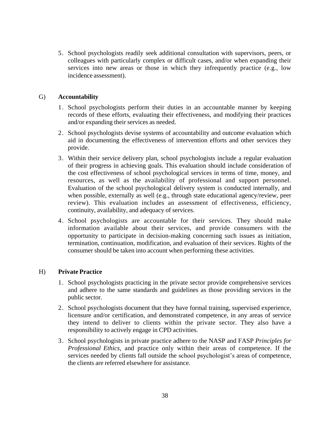5. School psychologists readily seek additional consultation with supervisors, peers, or colleagues with particularly complex or difficult cases, and/or when expanding their services into new areas or those in which they infrequently practice (e.g., low incidence assessment).

### G) **Accountability**

- 1. School psychologists perform their duties in an accountable manner by keeping records of these efforts, evaluating their effectiveness, and modifying their practices and/or expanding their services as needed.
- 2. School psychologists devise systems of accountability and outcome evaluation which aid in documenting the effectiveness of intervention efforts and other services they provide.
- 3. Within their service delivery plan, school psychologists include a regular evaluation of their progress in achieving goals. This evaluation should include consideration of the cost effectiveness of school psychological services in terms of time, money, and resources, as well as the availability of professional and support personnel. Evaluation of the school psychological delivery system is conducted internally, and when possible, externally as well (e.g., through state educational agency/review, peer review). This evaluation includes an assessment of effectiveness, efficiency, continuity, availability, and adequacy of services.
- 4. School psychologists are accountable for their services. They should make information available about their services, and provide consumers with the opportunity to participate in decision-making concerning such issues as initiation, termination, continuation, modification, and evaluation of their services. Rights of the consumer should be taken into account when performing these activities.

## H) **Private Practice**

- 1. School psychologists practicing in the private sector provide comprehensive services and adhere to the same standards and guidelines as those providing services in the public sector.
- 2. School psychologists document that they have formal training, supervised experience, licensure and/or certification, and demonstrated competence, in any areas of service they intend to deliver to clients within the private sector. They also have a responsibility to actively engage in CPD activities.
- 3. School psychologists in private practice adhere to the NASP and FASP *Principles for Professional Ethics*, and practice only within their areas of competence. If the services needed by clients fall outside the school psychologist's areas of competence, the clients are referred elsewhere for assistance.